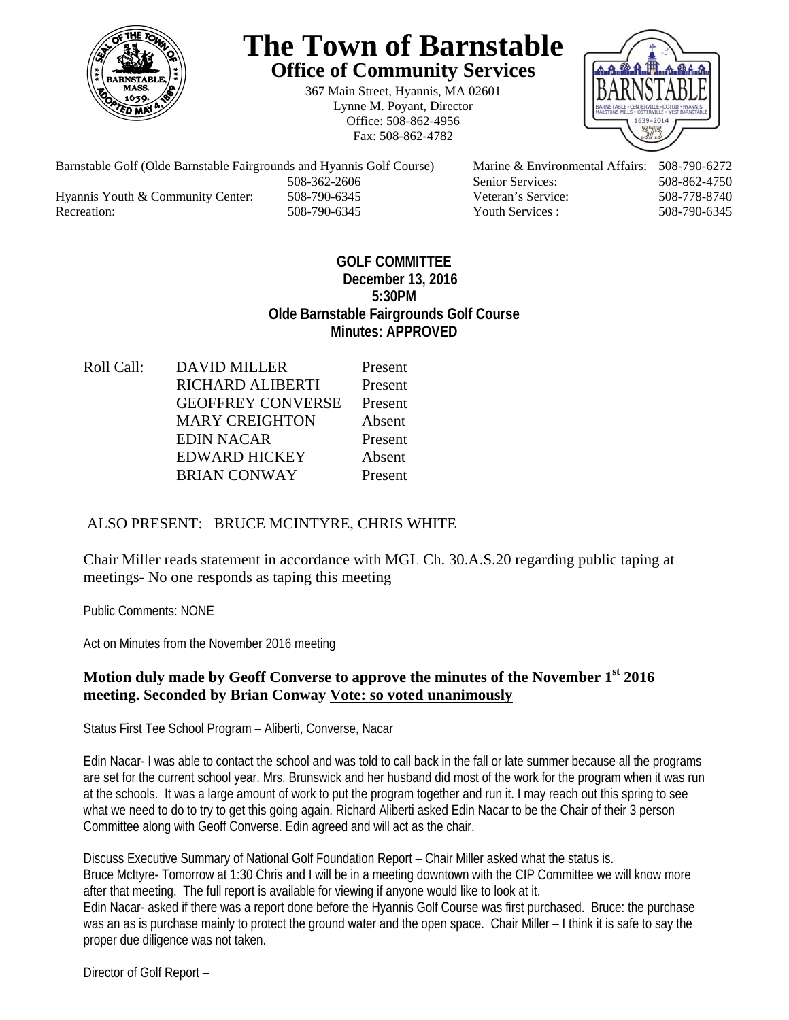

# **The Town of Barnstable Office of Community Services**

367 Main Street, Hyannis, MA 02601 Lynne M. Poyant, Director Office: 508-862-4956 Fax: 508-862-4782



Barnstable Golf (Olde Barnstable Fairgrounds and Hyannis Golf Course) Marine & Environmental Affairs: 508-790-6272 508-362-2606 Senior Services: 508-862-4750 Hyannis Youth & Community Center: 508-790-6345 Veteran's Service: 508-778-8740 Recreation: 508-790-6345 Youth Services : 508-790-6345 S08-790-6345

#### **GOLF COMMITTEE December 13, 2016 5:30PM Olde Barnstable Fairgrounds Golf Course Minutes: APPROVED**

Roll Call: DAVID MILLER Present RICHARD ALIBERTI Present GEOFFREY CONVERSE Present MARY CREIGHTON Absent EDIN NACAR Present EDWARD HICKEY Absent BRIAN CONWAY Present

## ALSO PRESENT: BRUCE MCINTYRE, CHRIS WHITE

Chair Miller reads statement in accordance with MGL Ch. 30.A.S.20 regarding public taping at meetings- No one responds as taping this meeting

Public Comments: NONE

Act on Minutes from the November 2016 meeting

### **Motion duly made by Geoff Converse to approve the minutes of the November 1st 2016 meeting. Seconded by Brian Conway Vote: so voted unanimously**

Status First Tee School Program – Aliberti, Converse, Nacar

Edin Nacar- I was able to contact the school and was told to call back in the fall or late summer because all the programs are set for the current school year. Mrs. Brunswick and her husband did most of the work for the program when it was run at the schools. It was a large amount of work to put the program together and run it. I may reach out this spring to see what we need to do to try to get this going again. Richard Aliberti asked Edin Nacar to be the Chair of their 3 person Committee along with Geoff Converse. Edin agreed and will act as the chair.

Discuss Executive Summary of National Golf Foundation Report – Chair Miller asked what the status is. Bruce McItyre- Tomorrow at 1:30 Chris and I will be in a meeting downtown with the CIP Committee we will know more after that meeting. The full report is available for viewing if anyone would like to look at it. Edin Nacar- asked if there was a report done before the Hyannis Golf Course was first purchased. Bruce: the purchase was an as is purchase mainly to protect the ground water and the open space. Chair Miller – I think it is safe to say the proper due diligence was not taken.

Director of Golf Report –